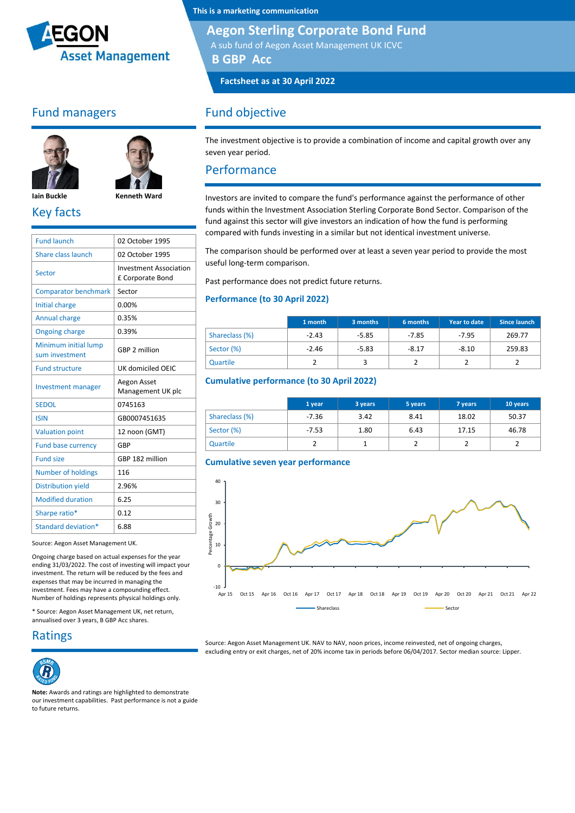

## Fund managers





**Iain Buckle Kenneth Ward** Key facts

| <b>Fund launch</b>                     | 02 October 1995                                   |
|----------------------------------------|---------------------------------------------------|
| Share class launch                     | 02 October 1995                                   |
| Sector                                 | <b>Investment Association</b><br>£ Corporate Bond |
| <b>Comparator benchmark</b>            | Sector                                            |
| Initial charge                         | 0.00%                                             |
| <b>Annual charge</b>                   | 0.35%                                             |
| <b>Ongoing charge</b>                  | 0.39%                                             |
| Minimum initial lump<br>sum investment | GBP 2 million                                     |
| <b>Fund structure</b>                  | UK domiciled OEIC                                 |
| <b>Investment manager</b>              | Aegon Asset<br>Management UK plc                  |
| <b>SEDOL</b>                           | 0745163                                           |
| <b>ISIN</b>                            | GB0007451635                                      |
| <b>Valuation point</b>                 | 12 noon (GMT)                                     |
| <b>Fund base currency</b>              | GBP                                               |
| <b>Fund size</b>                       | GBP 182 million                                   |
| Number of holdings                     | 116                                               |
| <b>Distribution yield</b>              | 2.96%                                             |
| <b>Modified duration</b>               | 6.25                                              |
| Sharpe ratio*                          | 0.12                                              |
| Standard deviation*                    | 6.88                                              |
|                                        |                                                   |

Source: Aegon Asset Management UK.

Ongoing charge based on actual expenses for the year ending 31/03/2022. The cost of investing will impact your investment. The return will be reduced by the fees and expenses that may be incurred in managing the investment. Fees may have a compounding effect. Number of holdings represents physical holdings only.

\* Source: Aegon Asset Management UK, net return, annualised over 3 years, B GBP Acc shares.

Ratings



**Note:** Awards and ratings are highlighted to demonstrate our investment capabilities. Past performance is not a guide to future returns.

**This is a marketing communication**

### **Aegon Sterling Corporate Bond Fund**

A sub fund of Aegon Asset Management UK ICVC

**B GBP Acc**

**Factsheet as at 30 April 2022**

## Fund objective

The investment objective is to provide a combination of income and capital growth over any seven year period.

### Performance

Investors are invited to compare the fund's performance against the performance of other funds within the Investment Association Sterling Corporate Bond Sector. Comparison of the fund against this sector will give investors an indication of how the fund is performing compared with funds investing in a similar but not identical investment universe.

The comparison should be performed over at least a seven year period to provide the most useful long-term comparison.

Past performance does not predict future returns.

#### **Performance (to 30 April 2022)**

|                | 1 month | 3 months | 6 months | Year to date | Since launch |
|----------------|---------|----------|----------|--------------|--------------|
| Shareclass (%) | $-2.43$ | $-5.85$  | $-7.85$  | $-7.95$      | 269.77       |
| Sector (%)     | $-2.46$ | $-5.83$  | $-8.17$  | $-8.10$      | 259.83       |
| Quartile       |         |          |          |              |              |

#### **Cumulative performance (to 30 April 2022)**

|                | 1 year  | 3 years | 5 years | 7 years | 10 years |
|----------------|---------|---------|---------|---------|----------|
| Shareclass (%) | $-7.36$ | 3.42    | 8.41    | 18.02   | 50.37    |
| Sector (%)     | $-7.53$ | 1.80    | 6.43    | 17.15   | 46.78    |
| Quartile       |         |         |         |         |          |





Source: Aegon Asset Management UK. NAV to NAV, noon prices, income reinvested, net of ongoing charges, excluding entry or exit charges, net of 20% income tax in periods before 06/04/2017. Sector median source: Lipper.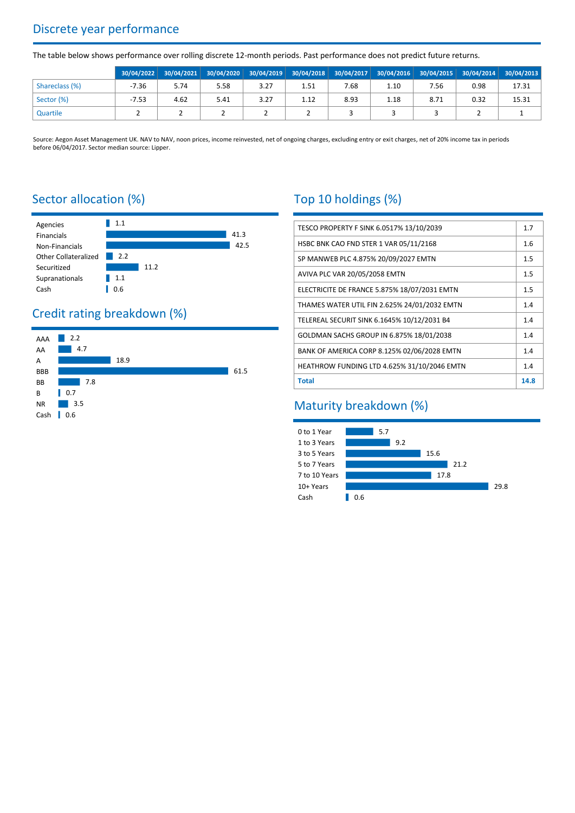## Discrete year performance

The table below shows performance over rolling discrete 12-month periods. Past performance does not predict future returns.

|                | 30/04/2022 |      |      |      | 30/04/2021 30/04/2020 30/04/2019 30/04/2018 30/04/2017 30/04/2016 30/04/2015 30/04/2014 30/04/2013 |      |      |      |      |       |
|----------------|------------|------|------|------|----------------------------------------------------------------------------------------------------|------|------|------|------|-------|
| Shareclass (%) | $-7.36$    | 5.74 | 5.58 | 3.27 | 1.51                                                                                               | 7.68 | 1.10 | 7.56 | 0.98 | 17.31 |
| Sector (%)     | $-7.53$    | 4.62 | 5.41 | 3.27 | 1.12                                                                                               | 8.93 | 1.18 | 8.71 | 0.32 | 15.31 |
| Quartile       |            |      |      |      |                                                                                                    |      |      |      |      |       |

Source: Aegon Asset Management UK. NAV to NAV, noon prices, income reinvested, net of ongoing charges, excluding entry or exit charges, net of 20% income tax in periods before 06/04/2017. Sector median source: Lipper.

## Sector allocation (%)



# Credit rating breakdown (%)



# Top 10 holdings (%)

| TESCO PROPERTY F SINK 6.0517% 13/10/2039     | 1.7  |  |  |
|----------------------------------------------|------|--|--|
| HSBC BNK CAO FND STER 1 VAR 05/11/2168       | 1.6  |  |  |
| SP MANWEB PLC 4.875% 20/09/2027 EMTN         |      |  |  |
| AVIVA PLC VAR 20/05/2058 EMTN                | 1.5  |  |  |
| ELECTRICITE DE FRANCE 5.875% 18/07/2031 EMTN | 1.5  |  |  |
| THAMES WATER UTIL FIN 2.625% 24/01/2032 EMTN | 1.4  |  |  |
| TELEREAL SECURIT SINK 6.1645% 10/12/2031 B4  |      |  |  |
| GOLDMAN SACHS GROUP IN 6.875% 18/01/2038     |      |  |  |
| BANK OF AMERICA CORP 8.125% 02/06/2028 EMTN  |      |  |  |
| HEATHROW FUNDING LTD 4.625% 31/10/2046 EMTN  |      |  |  |
| <b>Total</b>                                 | 14.8 |  |  |

## Maturity breakdown (%)